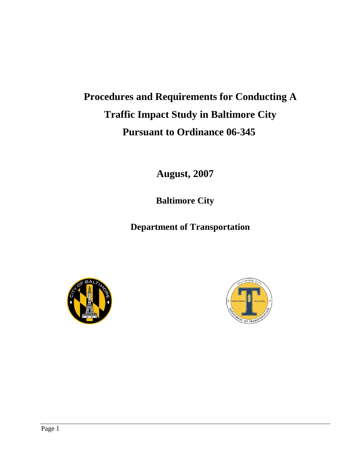# **Procedures and Requirements for Conducting A Traffic Impact Study in Baltimore City Pursuant to Ordinance 06-345**

**August, 2007**

**Baltimore City**

**Department of Transportation** 



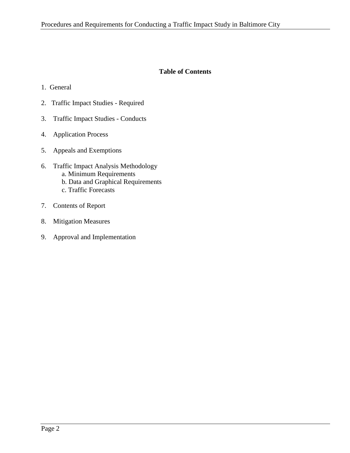## **Table of Contents**

- 1. General
- 2. Traffic Impact Studies Required
- 3. Traffic Impact Studies Conducts
- 4. Application Process
- 5. Appeals and Exemptions
- 6. Traffic Impact Analysis Methodology a. Minimum Requirements b. Data and Graphical Requirements
	- c. Traffic Forecasts
- 7. Contents of Report
- 8. Mitigation Measures
- 9. Approval and Implementation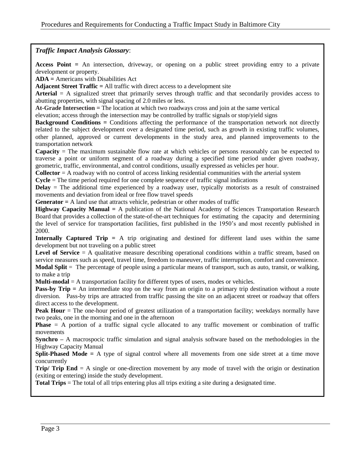## *Traffic Impact Analysis Glossary*:

**Access Point =** An intersection, driveway, or opening on a public street providing entry to a private development or property.

**ADA =** Americans with Disabilities Act

**Adjacent Street Traffic =** All traffic with direct access to a development site

**Arterial** = A signalized street that primarily serves through traffic and that secondarily provides access to abutting properties, with signal spacing of 2.0 miles or less.

**At-Grade Intersection =** The location at which two roadways cross and join at the same vertical

elevation; access through the intersection may be controlled by traffic signals or stop/yield signs

**Background Conditions = Conditions affecting the performance of the transportation network not directly** related to the subject development over a designated time period, such as growth in existing traffic volumes, other planned, approved or current developments in the study area, and planned improvements to the transportation network

**Capacity** = The maximum sustainable flow rate at which vehicles or persons reasonably can be expected to traverse a point or uniform segment of a roadway during a specified time period under given roadway, geometric, traffic, environmental, and control conditions, usually expressed as vehicles per hour.

**Collector** = A roadway with no control of access linking residential communities with the arterial system

**Cycle** = The time period required for one complete sequence of traffic signal indications

**Delay** = The additional time experienced by a roadway user, typically motorists as a result of constrained movements and deviation from ideal or free flow travel speeds

**Generator =** A land use that attracts vehicle, pedestrian or other modes of traffic

**Highway Capacity Manual =** A publication of the National Academy of Sciences Transportation Research Board that provides a collection of the state-of-the-art techniques for estimating the capacity and determining the level of service for transportation facilities, first published in the 1950's and most recently published in 2000.

**Internally Captured Trip =** A trip originating and destined for different land uses within the same development but not traveling on a public street

Level of Service = A qualitative measure describing operational conditions within a traffic stream, based on service measures such as speed, travel time, freedom to maneuver, traffic interruption, comfort and convenience. **Modal Split** = The percentage of people using a particular means of transport, such as auto, transit, or walking, to make a trip

**Multi-modal** = A transportation facility for different types of users, modes or vehicles.

**Pass-by Trip** = An intermediate stop on the way from an origin to a primary trip destination without a route diversion. Pass-by trips are attracted from traffic passing the site on an adjacent street or roadway that offers direct access to the development.

**Peak Hour** = The one-hour period of greatest utilization of a transportation facility; weekdays normally have two peaks, one in the morning and one in the afternoon

**Phase** = A portion of a traffic signal cycle allocated to any traffic movement or combination of traffic movements

**Synchro** – A macrospocic traffic simulation and signal analysis software based on the methodologies in the Highway Capacity Manual

**Split-Phased Mode =** A type of signal control where all movements from one side street at a time move concurrently

**Trip/ Trip End** = A single or one-direction movement by any mode of travel with the origin or destination (exiting or entering) inside the study development.

**Total Trips** = The total of all trips entering plus all trips exiting a site during a designated time.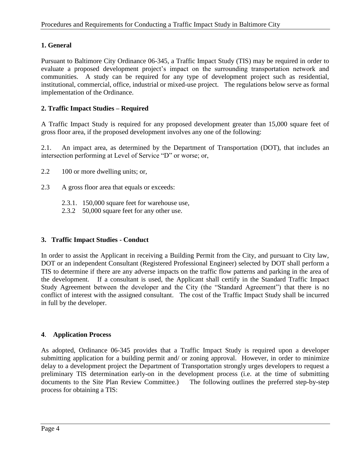# **1. General**

Pursuant to Baltimore City Ordinance 06-345, a Traffic Impact Study (TIS) may be required in order to evaluate a proposed development project's impact on the surrounding transportation network and communities. A study can be required for any type of development project such as residential, institutional, commercial, office, industrial or mixed-use project. The regulations below serve as formal implementation of the Ordinance.

# **2. Traffic Impact Studies – Required**

A Traffic Impact Study is required for any proposed development greater than 15,000 square feet of gross floor area, if the proposed development involves any one of the following:

2.1. An impact area, as determined by the Department of Transportation (DOT), that includes an intersection performing at Level of Service "D" or worse; or,

2.2 100 or more dwelling units; or,

- 2.3 A gross floor area that equals or exceeds:
	- 2.3.1. 150,000 square feet for warehouse use,
	- 2.3.2 50,000 square feet for any other use.

# **3. Traffic Impact Studies - Conduct**

In order to assist the Applicant in receiving a Building Permit from the City, and pursuant to City law, DOT or an independent Consultant (Registered Professional Engineer) selected by DOT shall perform a TIS to determine if there are any adverse impacts on the traffic flow patterns and parking in the area of the development. If a consultant is used, the Applicant shall certify in the Standard Traffic Impact Study Agreement between the developer and the City (the "Standard Agreement") that there is no conflict of interest with the assigned consultant. The cost of the Traffic Impact Study shall be incurred in full by the developer.

# **4**. **Application Process**

As adopted, Ordinance 06-345 provides that a Traffic Impact Study is required upon a developer submitting application for a building permit and/ or zoning approval. However, in order to minimize delay to a development project the Department of Transportation strongly urges developers to request a preliminary TIS determination early-on in the development process (i.e. at the time of submitting documents to the Site Plan Review Committee.) The following outlines the preferred step-by-step process for obtaining a TIS: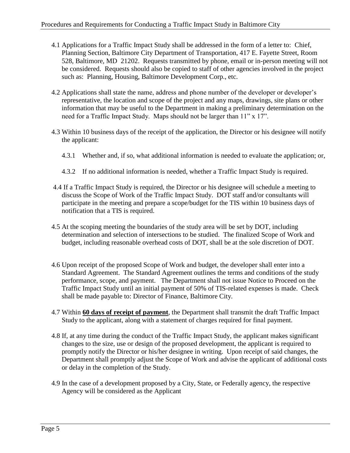- 4.1 Applications for a Traffic Impact Study shall be addressed in the form of a letter to: Chief, Planning Section, Baltimore City Department of Transportation, 417 E. Fayette Street, Room 528, Baltimore, MD 21202. Requests transmitted by phone, email or in-person meeting will not be considered. Requests should also be copied to staff of other agencies involved in the project such as: Planning, Housing, Baltimore Development Corp., etc.
- 4.2 Applications shall state the name, address and phone number of the developer or developer's representative, the location and scope of the project and any maps, drawings, site plans or other information that may be useful to the Department in making a preliminary determination on the need for a Traffic Impact Study. Maps should not be larger than 11" x 17".
- 4.3 Within 10 business days of the receipt of the application, the Director or his designee will notify the applicant:
	- 4.3.1 Whether and, if so, what additional information is needed to evaluate the application; or,
	- 4.3.2 If no additional information is needed, whether a Traffic Impact Study is required.
- 4.4 If a Traffic Impact Study is required, the Director or his designee will schedule a meeting to discuss the Scope of Work of the Traffic Impact Study. DOT staff and/or consultants will participate in the meeting and prepare a scope/budget for the TIS within 10 business days of notification that a TIS is required.
- 4.5 At the scoping meeting the boundaries of the study area will be set by DOT, including determination and selection of intersections to be studied. The finalized Scope of Work and budget, including reasonable overhead costs of DOT, shall be at the sole discretion of DOT.
- 4.6 Upon receipt of the proposed Scope of Work and budget, the developer shall enter into a Standard Agreement. The Standard Agreement outlines the terms and conditions of the study performance, scope, and payment. The Department shall not issue Notice to Proceed on the Traffic Impact Study until an initial payment of 50% of TIS-related expenses is made. Check shall be made payable to: Director of Finance, Baltimore City.
- 4.7 Within **60 days of receipt of payment**, the Department shall transmit the draft Traffic Impact Study to the applicant, along with a statement of charges required for final payment.
- 4.8 If, at any time during the conduct of the Traffic Impact Study, the applicant makes significant changes to the size, use or design of the proposed development, the applicant is required to promptly notify the Director or his/her designee in writing. Upon receipt of said changes, the Department shall promptly adjust the Scope of Work and advise the applicant of additional costs or delay in the completion of the Study.
- 4.9 In the case of a development proposed by a City, State, or Federally agency, the respective Agency will be considered as the Applicant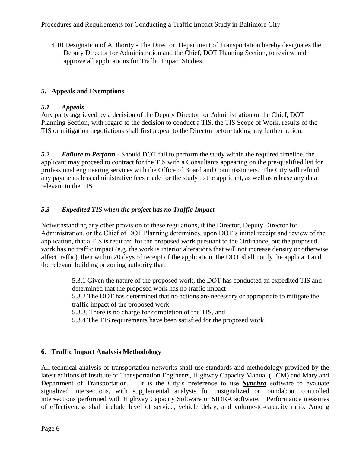4.10 Designation of Authority - The Director, Department of Transportation hereby designates the Deputy Director for Administration and the Chief, DOT Planning Section, to review and approve all applications for Traffic Impact Studies.

# **5. Appeals and Exemptions**

# *5.1 Appeals*

Any party aggrieved by a decision of the Deputy Director for Administration or the Chief, DOT Planning Section, with regard to the decision to conduct a TIS, the TIS Scope of Work, results of the TIS or mitigation negotiations shall first appeal to the Director before taking any further action.

*5.2 Failure to Perform* - Should DOT fail to perform the study within the required timeline, the applicant may proceed to contract for the TIS with a Consultants appearing on the pre-qualified list for professional engineering services with the Office of Board and Commissioners. The City will refund any payments less administrative fees made for the study to the applicant, as well as release any data relevant to the TIS.

# *5.3 Expedited TIS when the project has no Traffic Impact*

Notwithstanding any other provision of these regulations, if the Director, Deputy Director for Administration, or the Chief of DOT Planning determines, upon DOT's initial receipt and review of the application, that a TIS is required for the proposed work pursuant to the Ordinance, but the proposed work has no traffic impact (e.g. the work is interior alterations that will not increase density or otherwise affect traffic), then within 20 days of receipt of the application, the DOT shall notify the applicant and the relevant building or zoning authority that:

> 5.3.1 Given the nature of the proposed work, the DOT has conducted an expedited TIS and determined that the proposed work has no traffic impact 5.3.2 The DOT has determined that no actions are necessary or appropriate to mitigate the

traffic impact of the proposed work

5.3.3. There is no charge for completion of the TIS, and

5.3.4 The TIS requirements have been satisfied for the proposed work

# **6. Traffic Impact Analysis Methodology**

All technical analysis of transportation networks shall use standards and methodology provided by the latest editions of Institute of Transportation Engineers, Highway Capacity Manual (HCM) and Maryland Department of Transportation. It is the City's preference to use *Synchro* software to evaluate signalized intersections, with supplemental analysis for unsignalized or roundabout controlled intersections performed with Highway Capacity Software or SIDRA software. Performance measures of effectiveness shall include level of service, vehicle delay, and volume-to-capacity ratio. Among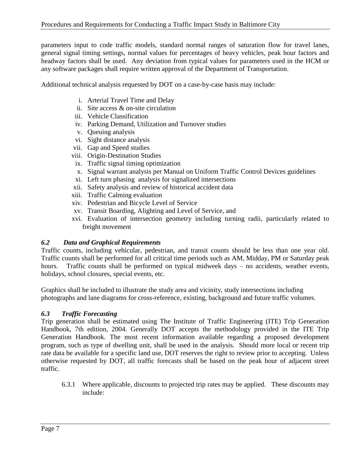parameters input to code traffic models, standard normal ranges of saturation flow for travel lanes, general signal timing settings, normal values for percentages of heavy vehicles, peak hour factors and headway factors shall be used. Any deviation from typical values for parameters used in the HCM or any software packages shall require written approval of the Department of Transportation.

Additional technical analysis requested by DOT on a case-by-case basis may include:

- i. Arterial Travel Time and Delay
- ii. Site access & on-site circulation
- iii. Vehicle Classification
- iv. Parking Demand, Utilization and Turnover studies
- v. Queuing analysis
- vi. Sight distance analysis
- vii. Gap and Speed studies
- viii. Origin-Destination Studies
- ix. Traffic signal timing optimization
- x. Signal warrant analysis per Manual on Uniform Traffic Control Devices guidelines
- xi. Left turn phasing analysis for signalized intersections
- xii. Safety analysis and review of historical accident data
- xiii. Traffic Calming evaluation
- xiv. Pedestrian and Bicycle Level of Service
- xv. Transit Boarding, Alighting and Level of Service, and
- xvi. Evaluation of intersection geometry including turning radii, particularly related to freight movement

#### *6.2 Data and Graphical Requirements*

Traffic counts, including vehicular, pedestrian, and transit counts should be less than one year old. Traffic counts shall be performed for all critical time periods such as AM, Midday, PM or Saturday peak hours. Traffic counts shall be performed on typical midweek days - no accidents, weather events, holidays, school closures, special events, etc.

Graphics shall be included to illustrate the study area and vicinity, study intersections including photographs and lane diagrams for cross-reference, existing, background and future traffic volumes.

# *6.3 Traffic Forecasting*

Trip generation shall be estimated using The Institute of Traffic Engineering (ITE) Trip Generation Handbook, 7th edition, 2004. Generally DOT accepts the methodology provided in the ITE Trip Generation Handbook. The most recent information available regarding a proposed development program, such as type of dwelling unit, shall be used in the analysis. Should more local or recent trip rate data be available for a specific land use, DOT reserves the right to review prior to accepting. Unless otherwise requested by DOT, all traffic forecasts shall be based on the peak hour of adjacent street traffic.

6.3.1 Where applicable, discounts to projected trip rates may be applied. These discounts may include: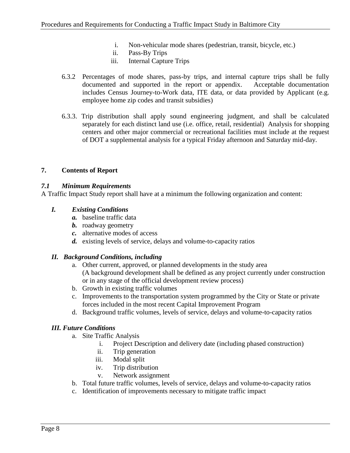- i. Non-vehicular mode shares (pedestrian, transit, bicycle, etc.)
- ii. Pass-By Trips
- iii. Internal Capture Trips
- 6.3.2 Percentages of mode shares, pass-by trips, and internal capture trips shall be fully documented and supported in the report or appendix. Acceptable documentation includes Census Journey-to-Work data, ITE data, or data provided by Applicant (e.g. employee home zip codes and transit subsidies)
- 6.3.3. Trip distribution shall apply sound engineering judgment, and shall be calculated separately for each distinct land use (i.e. office, retail, residential) Analysis for shopping centers and other major commercial or recreational facilities must include at the request of DOT a supplemental analysis for a typical Friday afternoon and Saturday mid-day.

# **7. Contents of Report**

## *7.1 Minimum Requirements*

A Traffic Impact Study report shall have at a minimum the following organization and content:

## *I. Existing Conditions*

- *a.* baseline traffic data
- *b.* roadway geometry
- *c.* alternative modes of access
- *d.* existing levels of service, delays and volume-to-capacity ratios

#### *II. Background Conditions, including*

- a. Other current, approved, or planned developments in the study area (A background development shall be defined as any project currently under construction or in any stage of the official development review process)
- b. Growth in existing traffic volumes
- c. Improvements to the transportation system programmed by the City or State or private forces included in the most recent Capital Improvement Program
- d. Background traffic volumes, levels of service, delays and volume-to-capacity ratios

# *III. Future Conditions*

- a. Site Traffic Analysis
	- i. Project Description and delivery date (including phased construction)
	- ii. Trip generation
	- iii. Modal split
	- iv. Trip distribution
	- v. Network assignment
- b. Total future traffic volumes, levels of service, delays and volume-to-capacity ratios
- c. Identification of improvements necessary to mitigate traffic impact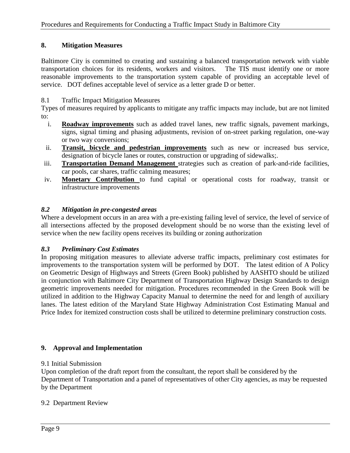## **8. Mitigation Measures**

Baltimore City is committed to creating and sustaining a balanced transportation network with viable transportation choices for its residents, workers and visitors. The TIS must identify one or more reasonable improvements to the transportation system capable of providing an acceptable level of service. DOT defines acceptable level of service as a letter grade D or better.

## 8.1 Traffic Impact Mitigation Measures

Types of measures required by applicants to mitigate any traffic impacts may include, but are not limited to:

- i. **Roadway improvements** such as added travel lanes, new traffic signals, pavement markings, signs, signal timing and phasing adjustments, revision of on-street parking regulation, one-way or two way conversions;
- ii. **Transit, bicycle and pedestrian improvements** such as new or increased bus service, designation of bicycle lanes or routes, construction or upgrading of sidewalks;.
- iii. **Transportation Demand Management** strategies such as creation of park-and-ride facilities, car pools, car shares, traffic calming measures;
- iv. **Monetary Contribution** to fund capital or operational costs for roadway, transit or infrastructure improvements

## *8.2 Mitigation in pre-congested areas*

Where a development occurs in an area with a pre-existing failing level of service, the level of service of all intersections affected by the proposed development should be no worse than the existing level of service when the new facility opens receives its building or zoning authorization

#### *8.3 Preliminary Cost Estimates*

In proposing mitigation measures to alleviate adverse traffic impacts, preliminary cost estimates for improvements to the transportation system will be performed by DOT. The latest edition of A Policy on Geometric Design of Highways and Streets (Green Book) published by AASHTO should be utilized in conjunction with Baltimore City Department of Transportation Highway Design Standards to design geometric improvements needed for mitigation. Procedures recommended in the Green Book will be utilized in addition to the Highway Capacity Manual to determine the need for and length of auxiliary lanes. The latest edition of the Maryland State Highway Administration Cost Estimating Manual and Price Index for itemized construction costs shall be utilized to determine preliminary construction costs.

#### **9. Approval and Implementation**

#### 9.1 Initial Submission

Upon completion of the draft report from the consultant, the report shall be considered by the Department of Transportation and a panel of representatives of other City agencies, as may be requested by the Department

#### 9.2 Department Review